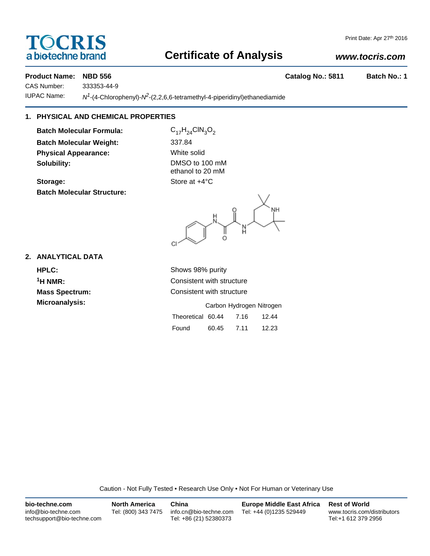# **TOCRIS** a biotechne brand

# **Certificate of Analysis**

### *www.tocris.com*

#### **Product Name: NBD 556 Catalog No.: 5811 Batch No.: 1**

CAS Number: 333353-44-9

IUPAC Name: *N1*-(4-Chlorophenyl)-*N2*-(2,2,6,6-tetramethyl-4-piperidinyl)ethanediamide

## **1. PHYSICAL AND CHEMICAL PROPERTIES**

**Batch Molecular Formula:** C<sub>17</sub>H<sub>24</sub>ClN<sub>3</sub>O<sub>2</sub> **Batch Molecular Weight:** 337.84 **Physical Appearance:** White solid **Solubility:** DMSO to 100 mM

Storage: Store at  $+4^{\circ}$ C **Batch Molecular Structure:**

ethanol to 20 mM

.<br>H Ĭ CI

### **2. ANALYTICAL DATA**

**HPLC:** Shows 98% purity **Microanalysis:** 

**1H NMR:** Consistent with structure **Mass Spectrum:** Consistent with structure

|                   |       | Carbon Hydrogen Nitrogen |       |
|-------------------|-------|--------------------------|-------|
| Theoretical 60.44 |       | 7.16                     | 12.44 |
| Found             | 60.45 | 7.11                     | 12.23 |

Caution - Not Fully Tested • Research Use Only • Not For Human or Veterinary Use

| bio-techne.com                                    | <b>North America</b> | China                                            | <b>Europe Middle East Africa</b> | <b>Rest of World</b>                               |
|---------------------------------------------------|----------------------|--------------------------------------------------|----------------------------------|----------------------------------------------------|
| info@bio-techne.com<br>techsupport@bio-techne.com | Tel: (800) 343 7475  | info.cn@bio-techne.com<br>Tel: +86 (21) 52380373 | Tel: +44 (0)1235 529449          | www.tocris.com/distributors<br>Tel:+1 612 379 2956 |